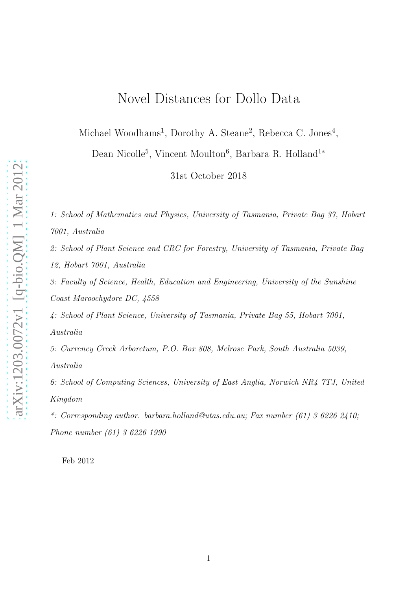# Novel Distances for Dollo Data

Michael Woodhams<sup>1</sup>, Dorothy A. Steane<sup>2</sup>, Rebecca C. Jones<sup>4</sup>,

Dean Nicolle<sup>5</sup>, Vincent Moulton<sup>6</sup>, Barbara R. Holland<sup>1\*</sup>

31st October 2018

*1: School of Mathematics and Physics, University of Tasmania, Private Bag 37, Hobart 7001, Australia*

*2: School of Plant Science and CRC for Forestry, University of Tasmania, Private Bag 12, Hobart 7001, Australia*

*3: Faculty of Science, Health, Education and Engineering, University of the Sunshine Coast Maroochydore DC, 4558*

*4: School of Plant Science, University of Tasmania, Private Bag 55, Hobart 7001, Australia*

*5: Currency Creek Arboretum, P.O. Box 808, Melrose Park, South Australia 5039, Australia*

*6: School of Computing Sciences, University of East Anglia, Norwich NR4 7TJ, United Kingdom*

*\*: Corresponding author. barbara.holland@utas.edu.au; Fax number (61) 3 6226 2410; Phone number (61) 3 6226 1990*

Feb 2012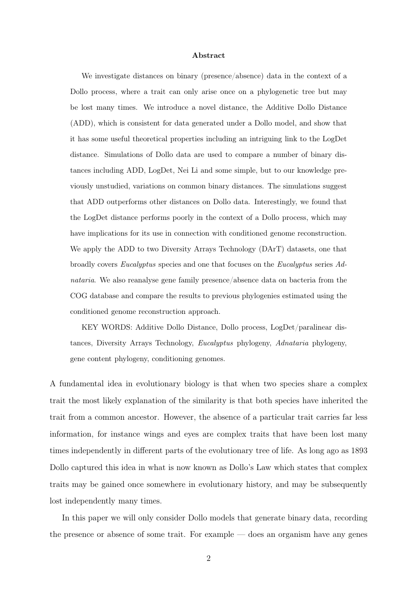#### Abstract

We investigate distances on binary (presence/absence) data in the context of a Dollo process, where a trait can only arise once on a phylogenetic tree but may be lost many times. We introduce a novel distance, the Additive Dollo Distance (ADD), which is consistent for data generated under a Dollo model, and show that it has some useful theoretical properties including an intriguing link to the LogDet distance. Simulations of Dollo data are used to compare a number of binary distances including ADD, LogDet, Nei Li and some simple, but to our knowledge previously unstudied, variations on common binary distances. The simulations suggest that ADD outperforms other distances on Dollo data. Interestingly, we found that the LogDet distance performs poorly in the context of a Dollo process, which may have implications for its use in connection with conditioned genome reconstruction. We apply the ADD to two Diversity Arrays Technology (DArT) datasets, one that broadly covers Eucalyptus species and one that focuses on the Eucalyptus series Adnataria. We also reanalyse gene family presence/absence data on bacteria from the COG database and compare the results to previous phylogenies estimated using the conditioned genome reconstruction approach.

KEY WORDS: Additive Dollo Distance, Dollo process, LogDet/paralinear distances, Diversity Arrays Technology, Eucalyptus phylogeny, Adnataria phylogeny, gene content phylogeny, conditioning genomes.

A fundamental idea in evolutionary biology is that when two species share a complex trait the most likely explanation of the similarity is that both species have inherited the trait from a common ancestor. However, the absence of a particular trait carries far less information, for instance wings and eyes are complex traits that have been lost many times independently in different parts of the evolutionary tree of life. As long ago as 1893 Dollo captured this idea in what is now known as Dollo's Law which states that complex traits may be gained once somewhere in evolutionary history, and may be subsequently lost independently many times.

In this paper we will only consider Dollo models that generate binary data, recording the presence or absence of some trait. For example — does an organism have any genes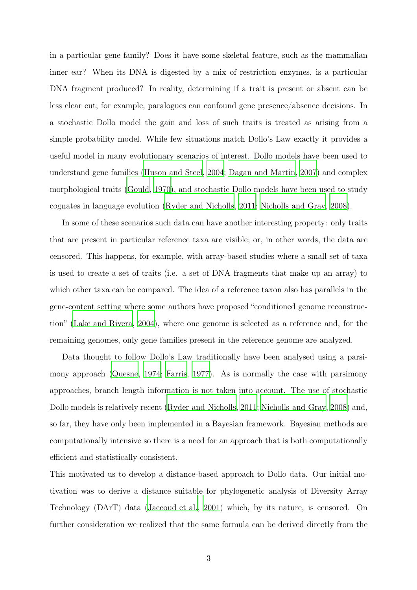in a particular gene family? Does it have some skeletal feature, such as the mammalian inner ear? When its DNA is digested by a mix of restriction enzymes, is a particular DNA fragment produced? In reality, determining if a trait is present or absent can be less clear cut; for example, paralogues can confound gene presence/absence decisions. In a stochastic Dollo model the gain and loss of such traits is treated as arising from a simple probability model. While few situations match Dollo's Law exactly it provides a useful model in many evolutionary scenarios of interest. Dollo models have been used to understand gene families [\(Huson and Steel, 2004](#page-23-0); [Dagan and Martin](#page-23-1), [2007\)](#page-23-1) and complex morphological traits [\(Gould, 1970](#page-23-2)), and stochastic Dollo models have been used to study cognates in language evolution [\(Ryder and Nicholls](#page-25-0), [2011;](#page-25-0) [Nicholls and Gray](#page-24-0), [2008\)](#page-24-0).

In some of these scenarios such data can have another interesting property: only traits that are present in particular reference taxa are visible; or, in other words, the data are censored. This happens, for example, with array-based studies where a small set of taxa is used to create a set of traits (i.e. a set of DNA fragments that make up an array) to which other taxa can be compared. The idea of a reference taxon also has parallels in the gene-content setting where some authors have proposed "conditioned genome reconstruction" [\(Lake and Rivera](#page-24-1), [2004](#page-24-1)), where one genome is selected as a reference and, for the remaining genomes, only gene families present in the reference genome are analyzed.

Data thought to follow Dollo's Law traditionally have been analysed using a parsimony approach [\(Quesne](#page-25-1), [1974;](#page-25-1) [Farris, 1977\)](#page-23-3). As is normally the case with parsimony approaches, branch length information is not taken into account. The use of stochastic Dollo models is relatively recent [\(Ryder and Nicholls, 2011;](#page-25-0) [Nicholls and Gray](#page-24-0), [2008\)](#page-24-0) and, so far, they have only been implemented in a Bayesian framework. Bayesian methods are computationally intensive so there is a need for an approach that is both computationally efficient and statistically consistent.

This motivated us to develop a distance-based approach to Dollo data. Our initial motivation was to derive a distance suitable for phylogenetic analysis of Diversity Array Technology (DArT) data [\(Jaccoud et al., 2001\)](#page-23-4) which, by its nature, is censored. On further consideration we realized that the same formula can be derived directly from the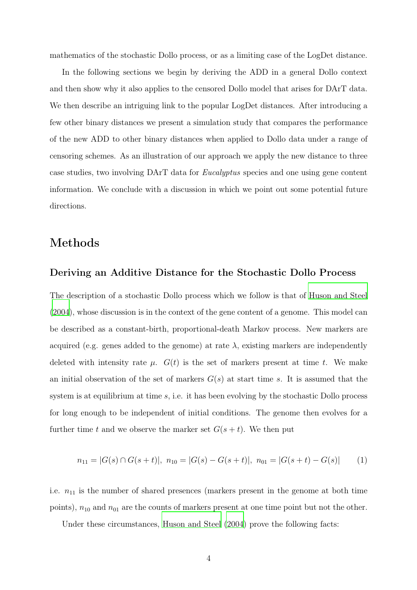mathematics of the stochastic Dollo process, or as a limiting case of the LogDet distance.

In the following sections we begin by deriving the ADD in a general Dollo context and then show why it also applies to the censored Dollo model that arises for DArT data. We then describe an intriguing link to the popular LogDet distances. After introducing a few other binary distances we present a simulation study that compares the performance of the new ADD to other binary distances when applied to Dollo data under a range of censoring schemes. As an illustration of our approach we apply the new distance to three case studies, two involving DArT data for *Eucalyptus* species and one using gene content information. We conclude with a discussion in which we point out some potential future directions.

## Methods

#### Deriving an Additive Distance for the Stochastic Dollo Process

The description of a stochastic Dollo process which we follow is that of [Huson and Steel](#page-23-0) [\(2004\)](#page-23-0), whose discussion is in the context of the gene content of a genome. This model can be described as a constant-birth, proportional-death Markov process. New markers are acquired (e.g. genes added to the genome) at rate  $\lambda$ , existing markers are independently deleted with intensity rate  $\mu$ .  $G(t)$  is the set of markers present at time t. We make an initial observation of the set of markers  $G(s)$  at start time s. It is assumed that the system is at equilibrium at time  $s$ , i.e. it has been evolving by the stochastic Dollo process for long enough to be independent of initial conditions. The genome then evolves for a further time t and we observe the marker set  $G(s + t)$ . We then put

$$
n_{11} = |G(s) \cap G(s+t)|, \ n_{10} = |G(s) - G(s+t)|, \ n_{01} = |G(s+t) - G(s)| \tag{1}
$$

i.e.  $n_{11}$  is the number of shared presences (markers present in the genome at both time points),  $n_{10}$  and  $n_{01}$  are the counts of markers present at one time point but not the other.

Under these circumstances, [Huson and Steel \(2004\)](#page-23-0) prove the following facts: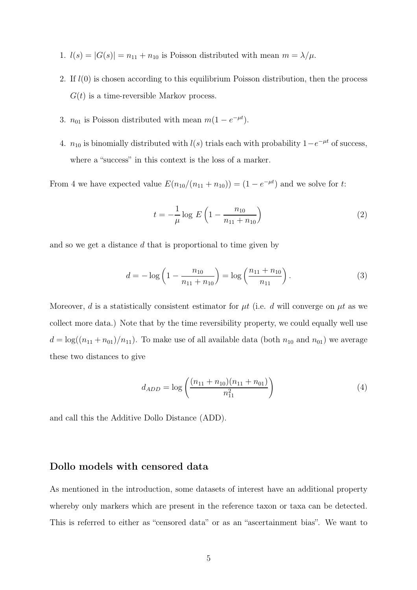- 1.  $l(s) = |G(s)| = n_{11} + n_{10}$  is Poisson distributed with mean  $m = \lambda/\mu$ .
- 2. If  $l(0)$  is chosen according to this equilibrium Poisson distribution, then the process  $G(t)$  is a time-reversible Markov process.
- 3.  $n_{01}$  is Poisson distributed with mean  $m(1 e^{-\mu t})$ .
- 4.  $n_{10}$  is binomially distributed with  $l(s)$  trials each with probability  $1-e^{-\mu t}$  of success, where a "success" in this context is the loss of a marker.

From 4 we have expected value  $E(n_{10}/(n_{11} + n_{10})) = (1 - e^{-\mu t})$  and we solve for t:

$$
t = -\frac{1}{\mu} \log E \left( 1 - \frac{n_{10}}{n_{11} + n_{10}} \right) \tag{2}
$$

and so we get a distance d that is proportional to time given by

$$
d = -\log\left(1 - \frac{n_{10}}{n_{11} + n_{10}}\right) = \log\left(\frac{n_{11} + n_{10}}{n_{11}}\right). \tag{3}
$$

Moreover, d is a statistically consistent estimator for  $\mu t$  (i.e. d will converge on  $\mu t$  as we collect more data.) Note that by the time reversibility property, we could equally well use  $d = \log((n_{11} + n_{01})/n_{11})$ . To make use of all available data (both  $n_{10}$  and  $n_{01}$ ) we average these two distances to give

$$
d_{ADD} = \log\left(\frac{(n_{11} + n_{10})(n_{11} + n_{01})}{n_{11}^2}\right) \tag{4}
$$

and call this the Additive Dollo Distance (ADD).

### Dollo models with censored data

As mentioned in the introduction, some datasets of interest have an additional property whereby only markers which are present in the reference taxon or taxa can be detected. This is referred to either as "censored data" or as an "ascertainment bias". We want to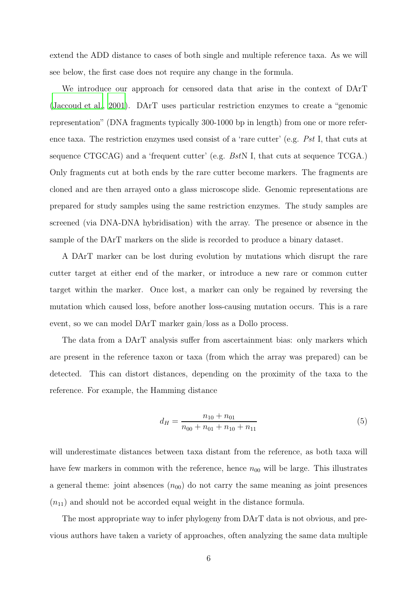extend the ADD distance to cases of both single and multiple reference taxa. As we will see below, the first case does not require any change in the formula.

We introduce our approach for censored data that arise in the context of DArT [\(Jaccoud et al.](#page-23-4), [2001](#page-23-4)). DArT uses particular restriction enzymes to create a "genomic representation" (DNA fragments typically 300-1000 bp in length) from one or more reference taxa. The restriction enzymes used consist of a 'rare cutter' (e.g. *Pst* I, that cuts at sequence CTGCAG) and a 'frequent cutter' (e.g. *Bst*N I, that cuts at sequence TCGA.) Only fragments cut at both ends by the rare cutter become markers. The fragments are cloned and are then arrayed onto a glass microscope slide. Genomic representations are prepared for study samples using the same restriction enzymes. The study samples are screened (via DNA-DNA hybridisation) with the array. The presence or absence in the sample of the DArT markers on the slide is recorded to produce a binary dataset.

A DArT marker can be lost during evolution by mutations which disrupt the rare cutter target at either end of the marker, or introduce a new rare or common cutter target within the marker. Once lost, a marker can only be regained by reversing the mutation which caused loss, before another loss-causing mutation occurs. This is a rare event, so we can model DArT marker gain/loss as a Dollo process.

The data from a DArT analysis suffer from ascertainment bias: only markers which are present in the reference taxon or taxa (from which the array was prepared) can be detected. This can distort distances, depending on the proximity of the taxa to the reference. For example, the Hamming distance

$$
d_H = \frac{n_{10} + n_{01}}{n_{00} + n_{01} + n_{10} + n_{11}}\tag{5}
$$

will underestimate distances between taxa distant from the reference, as both taxa will have few markers in common with the reference, hence  $n_{00}$  will be large. This illustrates a general theme: joint absences  $(n_{00})$  do not carry the same meaning as joint presences  $(n_{11})$  and should not be accorded equal weight in the distance formula.

The most appropriate way to infer phylogeny from DArT data is not obvious, and previous authors have taken a variety of approaches, often analyzing the same data multiple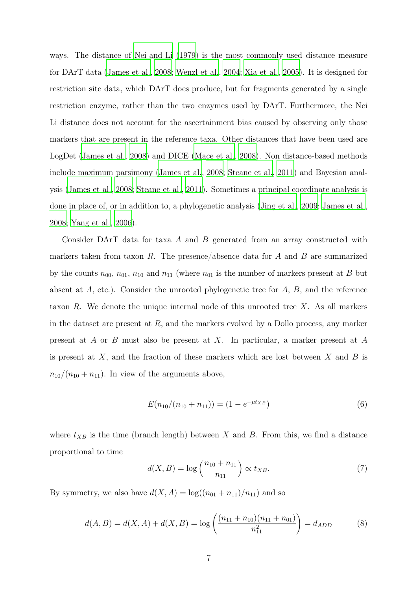ways. The distance of [Nei and Li \(1979](#page-24-2)) is the most commonly used distance measure for DArT data [\(James et al.](#page-24-3), [2008](#page-24-3); [Wenzl et al.](#page-26-0), [2004](#page-26-0); [Xia et al., 2005\)](#page-26-1). It is designed for restriction site data, which DArT does produce, but for fragments generated by a single restriction enzyme, rather than the two enzymes used by DArT. Furthermore, the Nei Li distance does not account for the ascertainment bias caused by observing only those markers that are present in the reference taxa. Other distances that have been used are LogDet [\(James et al.](#page-24-3), [2008\)](#page-24-3) and DICE [\(Mace et al., 2008](#page-24-4)). Non distance-based methods include maximum parsimony [\(James et al., 2008](#page-24-3); [Steane et al., 2011](#page-25-2)) and Bayesian analysis [\(James et al., 2008;](#page-24-3) [Steane et al., 2011\)](#page-25-2). Sometimes a principal coordinate analysis is done in place of, or in addition to, a phylogenetic analysis [\(Jing et al., 2009](#page-24-5); [James et al.](#page-24-3), [2008](#page-24-3); [Yang et al.](#page-26-2), [2006\)](#page-26-2).

Consider DArT data for taxa A and B generated from an array constructed with markers taken from taxon R. The presence/absence data for A and B are summarized by the counts  $n_{00}$ ,  $n_{01}$ ,  $n_{10}$  and  $n_{11}$  (where  $n_{01}$  is the number of markers present at B but absent at A, etc.). Consider the unrooted phylogenetic tree for A, B, and the reference taxon  $R$ . We denote the unique internal node of this unrooted tree  $X$ . As all markers in the dataset are present at  $R$ , and the markers evolved by a Dollo process, any marker present at A or B must also be present at X. In particular, a marker present at A is present at  $X$ , and the fraction of these markers which are lost between  $X$  and  $B$  is  $n_{10}/(n_{10} + n_{11})$ . In view of the arguments above,

$$
E(n_{10}/(n_{10} + n_{11})) = (1 - e^{-\mu t_{XB}})
$$
\n(6)

where  $t_{XB}$  is the time (branch length) between X and B. From this, we find a distance proportional to time

$$
d(X, B) = \log\left(\frac{n_{10} + n_{11}}{n_{11}}\right) \propto t_{XB}.\tag{7}
$$

By symmetry, we also have  $d(X, A) = \log((n_{01} + n_{11})/n_{11})$  and so

$$
d(A, B) = d(X, A) + d(X, B) = \log\left(\frac{(n_{11} + n_{10})(n_{11} + n_{01})}{n_{11}^2}\right) = d_{ADD}
$$
 (8)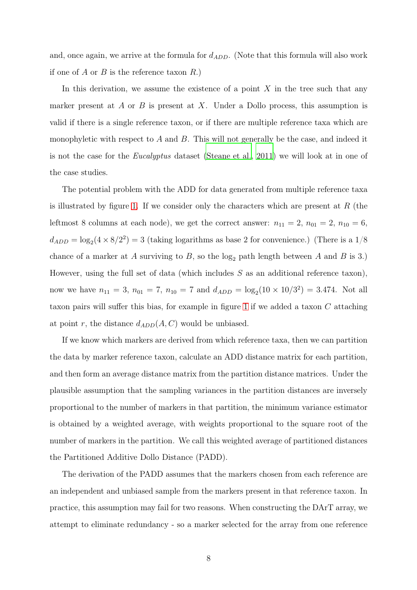and, once again, we arrive at the formula for  $d_{ADD}$ . (Note that this formula will also work if one of A or B is the reference taxon  $R$ .)

In this derivation, we assume the existence of a point  $X$  in the tree such that any marker present at A or B is present at X. Under a Dollo process, this assumption is valid if there is a single reference taxon, or if there are multiple reference taxa which are monophyletic with respect to A and B. This will not generally be the case, and indeed it is not the case for the *Eucalyptus* dataset [\(Steane et al., 2011\)](#page-25-2) we will look at in one of the case studies.

The potential problem with the ADD for data generated from multiple reference taxa is illustrated by figure [1.](#page-29-0) If we consider only the characters which are present at  $R$  (the leftmost 8 columns at each node), we get the correct answer:  $n_{11} = 2$ ,  $n_{01} = 2$ ,  $n_{10} = 6$ ,  $d_{ADD} = \log_2(4 \times 8/2^2) = 3$  (taking logarithms as base 2 for convenience.) (There is a 1/8 chance of a marker at A surviving to  $B$ , so the  $log_2$  path length between A and B is 3.) However, using the full set of data (which includes  $S$  as an additional reference taxon), now we have  $n_{11} = 3$ ,  $n_{01} = 7$ ,  $n_{10} = 7$  and  $d_{ADD} = \log_2(10 \times 10/3^2) = 3.474$ . Not all taxon pairs will suffer this bias, for example in figure [1](#page-29-0) if we added a taxon C attaching at point r, the distance  $d_{ADD}(A, C)$  would be unbiased.

If we know which markers are derived from which reference taxa, then we can partition the data by marker reference taxon, calculate an ADD distance matrix for each partition, and then form an average distance matrix from the partition distance matrices. Under the plausible assumption that the sampling variances in the partition distances are inversely proportional to the number of markers in that partition, the minimum variance estimator is obtained by a weighted average, with weights proportional to the square root of the number of markers in the partition*.* We call this weighted average of partitioned distances the Partitioned Additive Dollo Distance (PADD).

The derivation of the PADD assumes that the markers chosen from each reference are an independent and unbiased sample from the markers present in that reference taxon. In practice, this assumption may fail for two reasons. When constructing the DArT array, we attempt to eliminate redundancy - so a marker selected for the array from one reference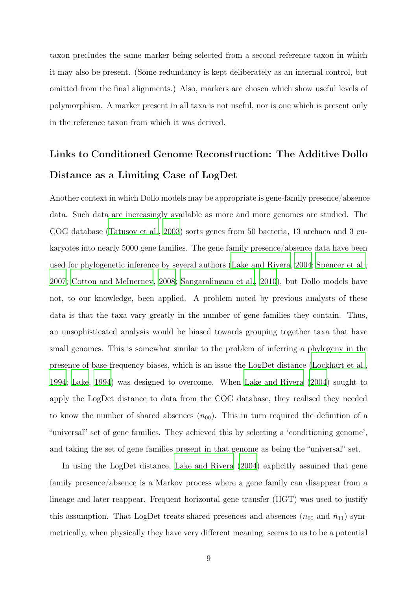taxon precludes the same marker being selected from a second reference taxon in which it may also be present. (Some redundancy is kept deliberately as an internal control, but omitted from the final alignments.) Also, markers are chosen which show useful levels of polymorphism. A marker present in all taxa is not useful, nor is one which is present only in the reference taxon from which it was derived.

# Links to Conditioned Genome Reconstruction: The Additive Dollo Distance as a Limiting Case of LogDet

Another context in which Dollo models may be appropriate is gene-family presence/absence data. Such data are increasingly available as more and more genomes are studied. The COG database [\(Tatusov et al., 2003\)](#page-25-3) sorts genes from 50 bacteria, 13 archaea and 3 eukaryotes into nearly 5000 gene families. The gene family presence/absence data have been used for phylogenetic inference by several authors [\(Lake and Rivera](#page-24-1), [2004;](#page-24-1) [Spencer et al.](#page-25-4), [2007](#page-25-4); [Cotton and McInerney, 2008](#page-23-5); [Sangaralingam et al.](#page-25-5), [2010\)](#page-25-5), but Dollo models have not, to our knowledge, been applied. A problem noted by previous analysts of these data is that the taxa vary greatly in the number of gene families they contain. Thus, an unsophisticated analysis would be biased towards grouping together taxa that have small genomes. This is somewhat similar to the problem of inferring a phylogeny in the presence of base-frequency biases, which is an issue the LogDet distance [\(Lockhart et al.](#page-24-6), [1994](#page-24-6); [Lake, 1994](#page-24-7)) was designed to overcome. When [Lake and Rivera \(2004](#page-24-1)) sought to apply the LogDet distance to data from the COG database, they realised they needed to know the number of shared absences  $(n_{00})$ . This in turn required the definition of a "universal" set of gene families. They achieved this by selecting a 'conditioning genome', and taking the set of gene families present in that genome as being the "universal" set.

In using the LogDet distance, [Lake and Rivera \(2004](#page-24-1)) explicitly assumed that gene family presence/absence is a Markov process where a gene family can disappear from a lineage and later reappear. Frequent horizontal gene transfer (HGT) was used to justify this assumption. That LogDet treats shared presences and absences  $(n_{00} \text{ and } n_{11})$  symmetrically, when physically they have very different meaning, seems to us to be a potential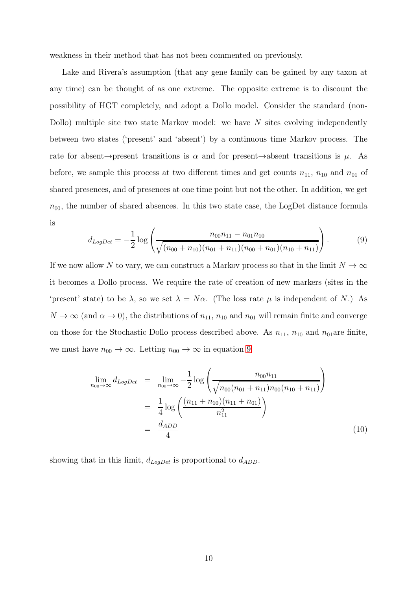weakness in their method that has not been commented on previously.

Lake and Rivera's assumption (that any gene family can be gained by any taxon at any time) can be thought of as one extreme. The opposite extreme is to discount the possibility of HGT completely, and adopt a Dollo model. Consider the standard (non-Dollo) multiple site two state Markov model: we have  $N$  sites evolving independently between two states ('present' and 'absent') by a continuous time Markov process. The rate for absent→present transitions is  $\alpha$  and for present→absent transitions is  $\mu$ . As before, we sample this process at two different times and get counts  $n_{11}$ ,  $n_{10}$  and  $n_{01}$  of shared presences, and of presences at one time point but not the other. In addition, we get  $n_{00}$ , the number of shared absences. In this two state case, the LogDet distance formula is

<span id="page-9-0"></span>
$$
d_{LogDet} = -\frac{1}{2} \log \left( \frac{n_{00}n_{11} - n_{01}n_{10}}{\sqrt{(n_{00} + n_{10})(n_{01} + n_{11})(n_{00} + n_{01})(n_{10} + n_{11})}} \right).
$$
(9)

If we now allow N to vary, we can construct a Markov process so that in the limit  $N \to \infty$ it becomes a Dollo process. We require the rate of creation of new markers (sites in the 'present' state) to be  $\lambda$ , so we set  $\lambda = N\alpha$ . (The loss rate  $\mu$  is independent of N.) As  $N \to \infty$  (and  $\alpha \to 0$ ), the distributions of  $n_{11}$ ,  $n_{10}$  and  $n_{01}$  will remain finite and converge on those for the Stochastic Dollo process described above. As  $n_{11}$ ,  $n_{10}$  and  $n_{01}$ are finite, we must have  $n_{00} \to \infty$ . Letting  $n_{00} \to \infty$  in equation [9](#page-9-0)

<span id="page-9-1"></span>
$$
\lim_{n_{00}\to\infty} d_{LogDet} = \lim_{n_{00}\to\infty} -\frac{1}{2} \log \left( \frac{n_{00}n_{11}}{\sqrt{n_{00}(n_{01} + n_{11})n_{00}(n_{10} + n_{11})}} \right)
$$
\n
$$
= \frac{1}{4} \log \left( \frac{(n_{11} + n_{10})(n_{11} + n_{01})}{n_{11}^2} \right)
$$
\n
$$
= \frac{d_{ADD}}{4}
$$
\n(10)

showing that in this limit,  $d_{LogDet}$  is proportional to  $d_{ADD}$ .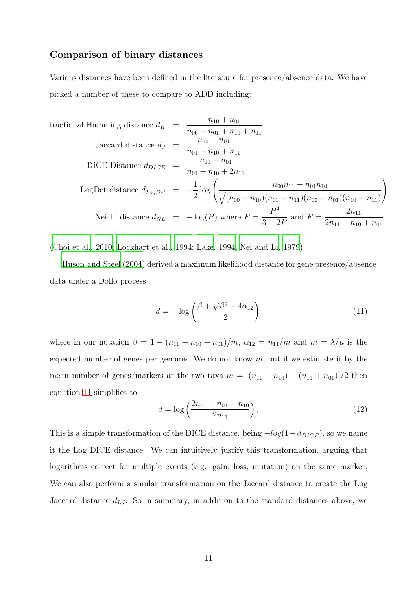### Comparison of binary distances

Various distances have been defined in the literature for presence/absence data. We have picked a number of these to compare to ADD including:

fractional Hamming distance 
$$
d_H = \frac{n_{10} + n_{01}}{n_{00} + n_{01} + n_{10} + n_{11}}
$$
  
\nJaccard distance  $d_J = \frac{n_{10} + n_{01}}{n_{01} + n_{10} + n_{11}}$   
\nDICE Distance  $d_{DICE} = \frac{n_{10} + n_{01}}{n_{01} + n_{10} + 2n_{11}}$   
\nLogDet distance  $d_{LogDet} = -\frac{1}{2} \log \left( \frac{n_{00}n_{11} - n_{01}n_{10}}{\sqrt{(n_{00} + n_{10})(n_{01} + n_{11})(n_{00} + n_{01})(n_{10} + n_{11})}} \right)$   
\nNei-Li distance  $d_{NL} = -\log(P)$  where  $F = \frac{P^4}{3 - 2P}$  and  $F = \frac{2n_{11}}{2n_{11} + n_{10} + n_{01}}$ 

[\(Choi et al.](#page-23-6), [2010;](#page-23-6) [Lockhart et al., 1994;](#page-24-6) [Lake, 1994;](#page-24-7) [Nei and](#page-24-2) Li, [1979\)](#page-24-2).

[Huson and Steel \(2004\)](#page-23-0) derived a maximum likelihood distance for gene presence/absence data under a Dollo process

<span id="page-10-0"></span>
$$
d = -\log\left(\frac{\beta + \sqrt{\beta^2 + 4\alpha_{12}}}{2}\right) \tag{11}
$$

where in our notation  $\beta = 1 - (n_{11} + n_{10} + n_{01})/m$ ,  $\alpha_{12} = n_{11}/m$  and  $m = \lambda/\mu$  is the expected number of genes per genome. We do not know  $m$ , but if we estimate it by the mean number of genes/markers at the two taxa  $m = \left[\left(n_{11} + n_{10}\right) + \left(n_{11} + n_{01}\right)\right]$ /2 then equation [11](#page-10-0) simplifies to

$$
d = \log\left(\frac{2n_{11} + n_{01} + n_{10}}{2n_{11}}\right). \tag{12}
$$

This is a simple transformation of the DICE distance, being  $-log(1-d_{DICE})$ , so we name it the Log DICE distance. We can intuitively justify this transformation, arguing that logarithms correct for multiple events (e.g. gain, loss, mutation) on the same marker. We can also perform a similar transformation on the Jaccard distance to create the Log Jaccard distance  $d_{LJ}$ . So in summary, in addition to the standard distances above, we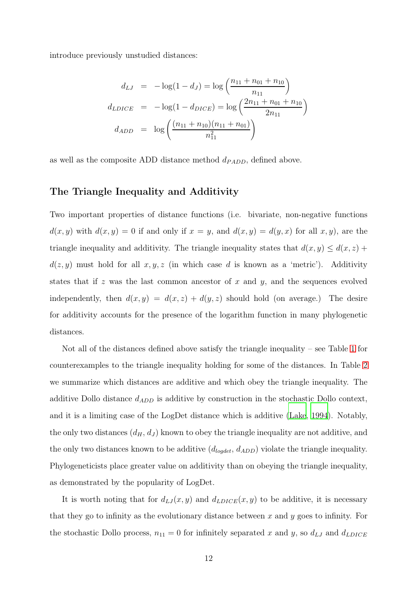introduce previously unstudied distances:

$$
d_{LJ} = -\log(1 - d_J) = \log\left(\frac{n_{11} + n_{01} + n_{10}}{n_{11}}\right)
$$

$$
d_{LDICE} = -\log(1 - d_{DICE}) = \log\left(\frac{2n_{11} + n_{01} + n_{10}}{2n_{11}}\right)
$$

$$
d_{ADD} = \log\left(\frac{(n_{11} + n_{10})(n_{11} + n_{01})}{n_{11}^2}\right)
$$

as well as the composite ADD distance method  $d_{PADD}$ , defined above.

### The Triangle Inequality and Additivity

Two important properties of distance functions (i.e. bivariate, non-negative functions  $d(x, y)$  with  $d(x, y) = 0$  if and only if  $x = y$ , and  $d(x, y) = d(y, x)$  for all  $x, y$ , are the triangle inequality and additivity. The triangle inequality states that  $d(x, y) \leq d(x, z) +$  $d(z, y)$  must hold for all  $x, y, z$  (in which case d is known as a 'metric'). Additivity states that if z was the last common ancestor of x and y, and the sequences evolved independently, then  $d(x, y) = d(x, z) + d(y, z)$  should hold (on average.) The desire for additivity accounts for the presence of the logarithm function in many phylogenetic distances.

Not all of the distances defined above satisfy the triangle inequality – see Table [1](#page-27-0) for counterexamples to the triangle inequality holding for some of the distances. In Table [2](#page-27-1) we summarize which distances are additive and which obey the triangle inequality. The additive Dollo distance  $d_{ADD}$  is additive by construction in the stochastic Dollo context, and it is a limiting case of the LogDet distance which is additive [\(Lake, 1994\)](#page-24-7). Notably, the only two distances  $(d_H, d_J)$  known to obey the triangle inequality are not additive, and the only two distances known to be additive  $(d_{\textit{logdet}}, d_{\textit{ADD}})$  violate the triangle inequality. Phylogeneticists place greater value on additivity than on obeying the triangle inequality, as demonstrated by the popularity of LogDet.

It is worth noting that for  $d_{LJ}(x, y)$  and  $d_{LDICE}(x, y)$  to be additive, it is necessary that they go to infinity as the evolutionary distance between  $x$  and  $y$  goes to infinity. For the stochastic Dollo process,  $n_{11} = 0$  for infinitely separated x and y, so  $d_{LJ}$  and  $d_{LDICE}$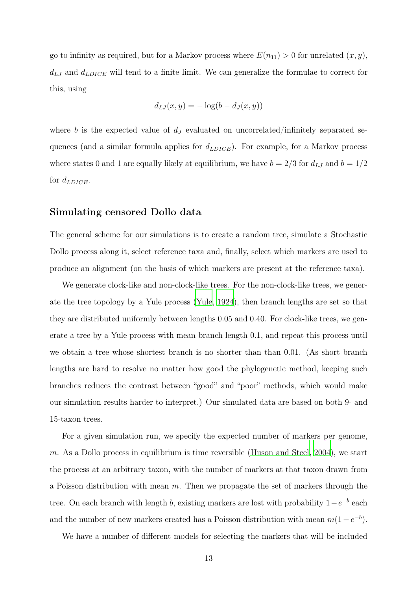go to infinity as required, but for a Markov process where  $E(n_{11}) > 0$  for unrelated  $(x, y)$ ,  $d_{LJ}$  and  $d_{LDICE}$  will tend to a finite limit. We can generalize the formulae to correct for this, using

$$
d_{LJ}(x,y) = -\log(b - d_J(x,y))
$$

where b is the expected value of  $d<sub>J</sub>$  evaluated on uncorrelated/infinitely separated sequences (and a similar formula applies for  $d_{LDICE}$ ). For example, for a Markov process where states 0 and 1 are equally likely at equilibrium, we have  $b = 2/3$  for  $d_{LJ}$  and  $b = 1/2$ for  $d_{LDICE}$ .

#### Simulating censored Dollo data

The general scheme for our simulations is to create a random tree, simulate a Stochastic Dollo process along it, select reference taxa and, finally, select which markers are used to produce an alignment (on the basis of which markers are present at the reference taxa).

We generate clock-like and non-clock-like trees. For the non-clock-like trees, we generate the tree topology by a Yule process [\(Yule, 1924](#page-26-3)), then branch lengths are set so that they are distributed uniformly between lengths 0.05 and 0.40. For clock-like trees, we generate a tree by a Yule process with mean branch length 0.1, and repeat this process until we obtain a tree whose shortest branch is no shorter than than 0.01. (As short branch lengths are hard to resolve no matter how good the phylogenetic method, keeping such branches reduces the contrast between "good" and "poor" methods, which would make our simulation results harder to interpret.) Our simulated data are based on both 9- and 15-taxon trees.

For a given simulation run, we specify the expected number of markers per genome,  $m$ . As a Dollo process in equilibrium is time reversible (Huson [and Steel](#page-23-0), [2004\)](#page-23-0), we start the process at an arbitrary taxon, with the number of markers at that taxon drawn from a Poisson distribution with mean  $m$ . Then we propagate the set of markers through the tree. On each branch with length b, existing markers are lost with probability  $1-e^{-b}$  each and the number of new markers created has a Poisson distribution with mean  $m(1-e^{-b})$ .

We have a number of different models for selecting the markers that will be included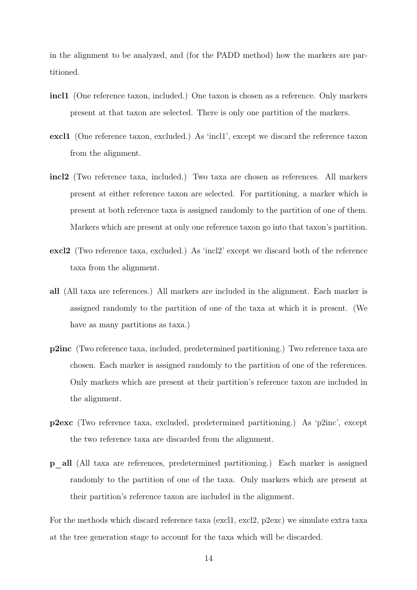in the alignment to be analyzed, and (for the PADD method) how the markers are partitioned.

- incl1 (One reference taxon, included.) One taxon is chosen as a reference. Only markers present at that taxon are selected. There is only one partition of the markers.
- excl1 (One reference taxon, excluded.) As 'incl1', except we discard the reference taxon from the alignment.
- incl2 (Two reference taxa, included.) Two taxa are chosen as references. All markers present at either reference taxon are selected. For partitioning, a marker which is present at both reference taxa is assigned randomly to the partition of one of them. Markers which are present at only one reference taxon go into that taxon's partition.
- excl2 (Two reference taxa, excluded.) As 'incl2' except we discard both of the reference taxa from the alignment.
- all (All taxa are references.) All markers are included in the alignment. Each marker is assigned randomly to the partition of one of the taxa at which it is present. (We have as many partitions as taxa.)
- p2inc (Two reference taxa, included, predetermined partitioning.) Two reference taxa are chosen. Each marker is assigned randomly to the partition of one of the references. Only markers which are present at their partition's reference taxon are included in the alignment.
- p2exc (Two reference taxa, excluded, predetermined partitioning.) As 'p2inc', except the two reference taxa are discarded from the alignment.
- p\_all (All taxa are references, predetermined partitioning.) Each marker is assigned randomly to the partition of one of the taxa. Only markers which are present at their partition's reference taxon are included in the alignment.

For the methods which discard reference taxa (excl1, excl2, p2exc) we simulate extra taxa at the tree generation stage to account for the taxa which will be discarded.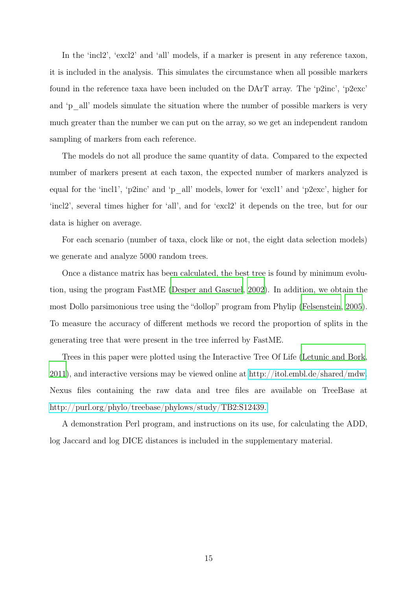In the 'incl2', 'excl2' and 'all' models, if a marker is present in any reference taxon, it is included in the analysis. This simulates the circumstance when all possible markers found in the reference taxa have been included on the DArT array. The 'p2inc', 'p2exc' and 'p\_all' models simulate the situation where the number of possible markers is very much greater than the number we can put on the array, so we get an independent random sampling of markers from each reference.

The models do not all produce the same quantity of data. Compared to the expected number of markers present at each taxon, the expected number of markers analyzed is equal for the 'incl1', 'p2inc' and 'p\_all' models, lower for 'excl1' and 'p2exc', higher for 'incl2', several times higher for 'all', and for 'excl2' it depends on the tree, but for our data is higher on average.

For each scenario (number of taxa, clock like or not, the eight data selection models) we generate and analyze 5000 random trees.

Once a distance matrix has been calculated, the best tree is found by minimum evolution, using the program FastME [\(Desper and Gascuel, 2002](#page-23-7)). In addition, we obtain the most Dollo parsimonious tree using the "dollop" program from Phylip [\(Felsenstein](#page-23-8), [2005\)](#page-23-8). To measure the accuracy of different methods we record the proportion of splits in the generating tree that were present in the tree inferred by FastME.

Trees in this paper were plotted using the Interactive Tree Of Life [\(Letunic and Bork](#page-24-8),  $2011$ , and interactive versions may be viewed online at [http://itol.embl.de/shared/mdw.](http://itol.embl.de/shared/mdw) Nexus files containing the raw data and tree files are available on TreeBase at [http://purl.org/phylo/treebase/phylows/study/TB2:S12439.](http://purl.org/phylo/treebase/phylows/study/TB2:S12439.\emergencystretch \z@ \tolerance 200\hfuzz .1\p@ \vfuzz \hfuzz )

A demonstration Perl program, and instructions on its use, for calculating the ADD, log Jaccard and log DICE distances is included in the supplementary material.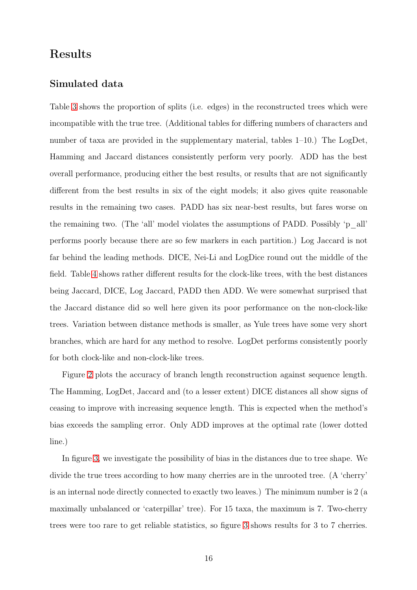# Results

### Simulated data

Table [3](#page-27-2) shows the proportion of splits (i.e. edges) in the reconstructed trees which were incompatible with the true tree. (Additional tables for differing numbers of characters and number of taxa are provided in the supplementary material, tables 1–10.) The LogDet, Hamming and Jaccard distances consistently perform very poorly. ADD has the best overall performance, producing either the best results, or results that are not significantly different from the best results in six of the eight models; it also gives quite reasonable results in the remaining two cases. PADD has six near-best results, but fares worse on the remaining two. (The 'all' model violates the assumptions of PADD. Possibly 'p\_all' performs poorly because there are so few markers in each partition.) Log Jaccard is not far behind the leading methods. DICE, Nei-Li and LogDice round out the middle of the field. Table [4](#page-28-0) shows rather different results for the clock-like trees, with the best distances being Jaccard, DICE, Log Jaccard, PADD then ADD. We were somewhat surprised that the Jaccard distance did so well here given its poor performance on the non-clock-like trees. Variation between distance methods is smaller, as Yule trees have some very short branches, which are hard for any method to resolve. LogDet performs consistently poorly for both clock-like and non-clock-like trees.

Figure [2](#page-30-0) plots the accuracy of branch length reconstruction against sequence length. The Hamming, LogDet, Jaccard and (to a lesser extent) DICE distances all show signs of ceasing to improve with increasing sequence length. This is expected when the method's bias exceeds the sampling error. Only ADD improves at the optimal rate (lower dotted line.)

In figure [3,](#page-31-0) we investigate the possibility of bias in the distances due to tree shape. We divide the true trees according to how many cherries are in the unrooted tree. (A 'cherry' is an internal node directly connected to exactly two leaves.) The minimum number is 2 (a maximally unbalanced or 'caterpillar' tree). For 15 taxa, the maximum is 7. Two-cherry trees were too rare to get reliable statistics, so figure [3](#page-31-0) shows results for 3 to 7 cherries.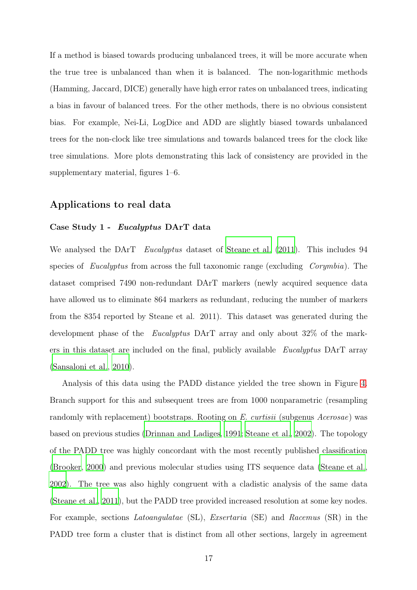If a method is biased towards producing unbalanced trees, it will be more accurate when the true tree is unbalanced than when it is balanced. The non-logarithmic methods (Hamming, Jaccard, DICE) generally have high error rates on unbalanced trees, indicating a bias in favour of balanced trees. For the other methods, there is no obvious consistent bias. For example, Nei-Li, LogDice and ADD are slightly biased towards unbalanced trees for the non-clock like tree simulations and towards balanced trees for the clock like tree simulations. More plots demonstrating this lack of consistency are provided in the supplementary material, figures 1–6.

### Applications to real data

#### Case Study 1 - Eucalyptus DArT data

We analysed the DArT *Eucalyptus* dataset of [Steane et al. \(2011\)](#page-25-2). This includes 94 species of *Eucalyptus* from across the full taxonomic range (excluding *Corymbia*). The dataset comprised 7490 non-redundant DArT markers (newly acquired sequence data have allowed us to eliminate 864 markers as redundant, reducing the number of markers from the 8354 reported by Steane et al. 2011). This dataset was generated during the development phase of the *Eucalyptus* DArT array and only about 32% of the markers in this dataset are included on the final, publicly available *Eucalyptus* DArT array [\(Sansaloni et al.](#page-25-6), [2010](#page-25-6)).

Analysis of this data using the PADD distance yielded the tree shown in Figure [4.](#page-32-0) Branch support for this and subsequent trees are from 1000 nonparametric (resampling randomly with replacement) bootstraps. Rooting on *E. curtisii* (subgenus *Acerosae*) was based on previous studies [\(Drinnan and Ladiges](#page-23-9), [1991](#page-23-9); [Steane et al.](#page-25-7), [2002](#page-25-7)). The topology of the PADD tree was highly concordant with the most recently published classification [\(Brooker, 2000](#page-22-0)) and previous molecular studies using ITS sequence data [\(Steane et al.](#page-25-7), [2002](#page-25-7)). The tree was also highly congruent with a cladistic analysis of the same data [\(Steane et al.](#page-25-2), [2011\)](#page-25-2), but the PADD tree provided increased resolution at some key nodes. For example, sections *Latoangulatae* (SL), *Exsertaria* (SE) and *Racemus* (SR) in the PADD tree form a cluster that is distinct from all other sections, largely in agreement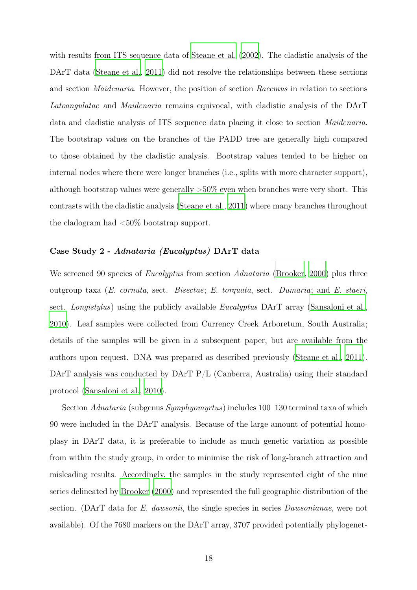with results from ITS sequence data of [Steane et al. \(2002\)](#page-25-7). The cladistic analysis of the DArT data [\(Steane et al., 2011](#page-25-2)) did not resolve the relationships between these sections and section *Maidenaria*. However, the position of section *Racemus* in relation to sections *Latoangulatae* and *Maidenaria* remains equivocal, with cladistic analysis of the DArT data and cladistic analysis of ITS sequence data placing it close to section *Maidenaria*. The bootstrap values on the branches of the PADD tree are generally high compared to those obtained by the cladistic analysis. Bootstrap values tended to be higher on internal nodes where there were longer branches (i.e., splits with more character support), although bootstrap values were generally  $>50\%$  even when branches were very short. This contrasts with the cladistic analysis [\(Steane et al., 2011](#page-25-2)) where many branches throughout the cladogram had  $\langle 50\%$  bootstrap support.

#### Case Study 2 - Adnataria (Eucalyptus) DArT data

We screened 90 species of *Eucalyptus* from section *Adnataria* [\(Brooker](#page-22-0), [2000\)](#page-22-0) plus three outgroup taxa (*E. cornuta*, sect. *Bisectae*; *E. torquata*, sect. *Dumaria*; and *E. staeri*, sect. *Longistylus*) using the publicly available *Eucalyptus* DArT array [\(Sansaloni et al.](#page-25-6), [2010](#page-25-6)). Leaf samples were collected from Currency Creek Arboretum, South Australia; details of the samples will be given in a subsequent paper, but are available from the authors upon request. DNA was prepared as described previously [\(Steane et al., 2011\)](#page-25-2). DArT analysis was conducted by DArT P/L (Canberra, Australia) using their standard protocol [\(Sansaloni et al.](#page-25-6), [2010\)](#page-25-6).

Section *Adnataria* (subgenus *Symphyomyrtus*) includes 100–130 terminal taxa of which 90 were included in the DArT analysis. Because of the large amount of potential homoplasy in DArT data, it is preferable to include as much genetic variation as possible from within the study group, in order to minimise the risk of long-branch attraction and misleading results. Accordingly, the samples in the study represented eight of the nine series delineated by [Brooker](#page-22-0) [\(2000\)](#page-22-0) and represented the full geographic distribution of the section. (DArT data for *E. dawsonii*, the single species in series *Dawsonianae*, were not available). Of the 7680 markers on the DArT array, 3707 provided potentially phylogenet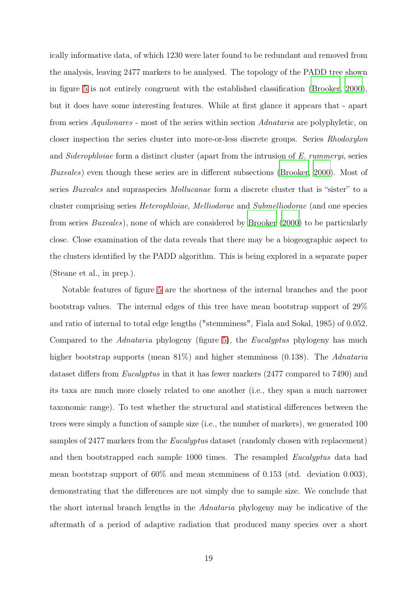ically informative data, of which 1230 were later found to be redundant and removed from the analysis, leaving 2477 markers to be analysed. The topology of the PADD tree shown in figure [5](#page-33-0) is not entirely congruent with the established classification [\(Brooker](#page-22-0), [2000\)](#page-22-0), but it does have some interesting features. While at first glance it appears that - apart from series *Aquilonares* - most of the series within section *Adnataria* are polyphyletic, on closer inspection the series cluster into more-or-less discrete groups. Series *Rhodoxylon* and *Siderophloiae* form a distinct cluster (apart from the intrusion of *E. rummeryi*, series *Buxeales*) even though these series are in different subsections [\(Brooker](#page-22-0), [2000](#page-22-0)). Most of series *Buxeales* and supraspecies *Mollucanae* form a discrete cluster that is "sister" to a cluster comprising series *Heterophloiae*, *Melliodorae* and *Submelliodorae* (and one species from series *Buxeales*), none of which are considered by [Brooker \(2000](#page-22-0)) to be particularly close. Close examination of the data reveals that there may be a biogeographic aspect to the clusters identified by the PADD algorithm. This is being explored in a separate paper (Steane et al., in prep.).

Notable features of figure [5](#page-33-0) are the shortness of the internal branches and the poor bootstrap values. The internal edges of this tree have mean bootstrap support of 29% and ratio of internal to total edge lengths ("stemminess", Fiala and Sokal, 1985) of 0.052. Compared to the *Adnatari*a phylogeny (figure [5\)](#page-33-0), the *Eucalyptus* phylogeny has much higher bootstrap supports (mean 81%) and higher stemminess (0.138). The *Adnataria* dataset differs from *Eucalyptus* in that it has fewer markers (2477 compared to 7490) and its taxa are much more closely related to one another (i.e., they span a much narrower taxonomic range). To test whether the structural and statistical differences between the trees were simply a function of sample size (i.e., the number of markers), we generated 100 samples of 2477 markers from the *Eucalyptu*s dataset (randomly chosen with replacement) and then bootstrapped each sample 1000 times. The resampled *Eucalyptus* data had mean bootstrap support of 60% and mean stemminess of 0.153 (std. deviation 0.003), demonstrating that the differences are not simply due to sample size. We conclude that the short internal branch lengths in the *Adnataria* phylogeny may be indicative of the aftermath of a period of adaptive radiation that produced many species over a short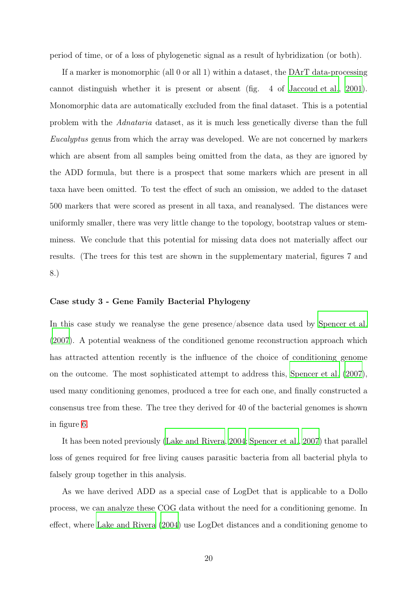period of time, or of a loss of phylogenetic signal as a result of hybridization (or both).

If a marker is monomorphic (all 0 or all 1) within a dataset, the DArT data-processing cannot distinguish whether it is present or absent (fig. 4 of [Jaccoud et al.](#page-23-4), [2001\)](#page-23-4). Monomorphic data are automatically excluded from the final dataset. This is a potential problem with the *Adnataria* dataset, as it is much less genetically diverse than the full *Eucalyptus* genus from which the array was developed. We are not concerned by markers which are absent from all samples being omitted from the data, as they are ignored by the ADD formula, but there is a prospect that some markers which are present in all taxa have been omitted. To test the effect of such an omission, we added to the dataset 500 markers that were scored as present in all taxa, and reanalysed. The distances were uniformly smaller, there was very little change to the topology, bootstrap values or stemminess. We conclude that this potential for missing data does not materially affect our results. (The trees for this test are shown in the supplementary material, figures 7 and 8.)

#### Case study 3 - Gene Family Bacterial Phylogeny

In this case study we reanalyse the gene presence/absence data used by [Spencer et al.](#page-25-4) [\(2007\)](#page-25-4). A potential weakness of the conditioned genome reconstruction approach which has attracted attention recently is the influence of the choice of conditioning genome on the outcome. The most sophisticated attempt to address this, [Spencer et al. \(2007\)](#page-25-4), used many conditioning genomes, produced a tree for each one, and finally constructed a consensus tree from these. The tree they derived for 40 of the bacterial genomes is shown in figure [6.](#page-34-0)

It has been noted previously [\(Lake and Rivera, 2004](#page-24-1); [Spencer](#page-25-4) et al., [2007](#page-25-4)) that parallel loss of genes required for free living causes parasitic bacteria from all bacterial phyla to falsely group together in this analysis.

As we have derived ADD as a special case of LogDet that is applicable to a Dollo process, we can analyze these COG data without the need for a conditioning genome. In effect, where [Lake and Rivera](#page-24-1) [\(2004](#page-24-1)) use LogDet distances and a conditioning genome to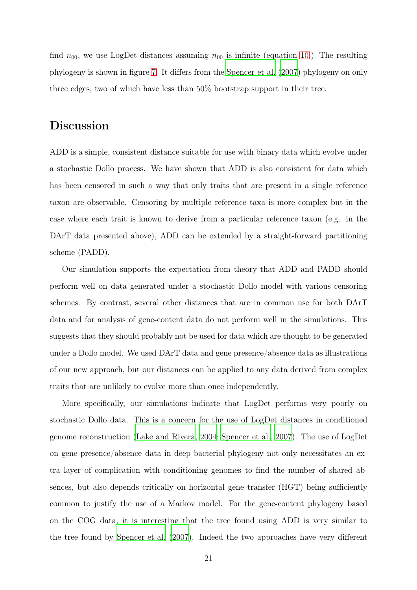find  $n_{00}$ , we use LogDet distances assuming  $n_{00}$  is infinite (equation [10.](#page-9-1)) The resulting phylogeny is shown in figure [7.](#page-35-0) It differs from the [Spencer et al. \(2007\)](#page-25-4) phylogeny on only three edges, two of which have less than 50% bootstrap support in their tree.

## Discussion

ADD is a simple, consistent distance suitable for use with binary data which evolve under a stochastic Dollo process. We have shown that ADD is also consistent for data which has been censored in such a way that only traits that are present in a single reference taxon are observable. Censoring by multiple reference taxa is more complex but in the case where each trait is known to derive from a particular reference taxon (e.g. in the DArT data presented above), ADD can be extended by a straight-forward partitioning scheme (PADD).

Our simulation supports the expectation from theory that ADD and PADD should perform well on data generated under a stochastic Dollo model with various censoring schemes. By contrast, several other distances that are in common use for both DArT data and for analysis of gene-content data do not perform well in the simulations. This suggests that they should probably not be used for data which are thought to be generated under a Dollo model. We used DArT data and gene presence/absence data as illustrations of our new approach, but our distances can be applied to any data derived from complex traits that are unlikely to evolve more than once independently.

More specifically, our simulations indicate that LogDet performs very poorly on stochastic Dollo data. This is a concern for the use of LogDet distances in conditioned genome reconstruction [\(Lake and Rivera](#page-24-1), [2004;](#page-24-1) [Spencer et al., 2007\)](#page-25-4). The use of LogDet on gene presence/absence data in deep bacterial phylogeny not only necessitates an extra layer of complication with conditioning genomes to find the number of shared absences, but also depends critically on horizontal gene transfer (HGT) being sufficiently common to justify the use of a Markov model. For the gene-content phylogeny based on the COG data, it is interesting that the tree found using ADD is very similar to the tree found by [Spencer et al.](#page-25-4) [\(2007](#page-25-4)). Indeed the two approaches have very different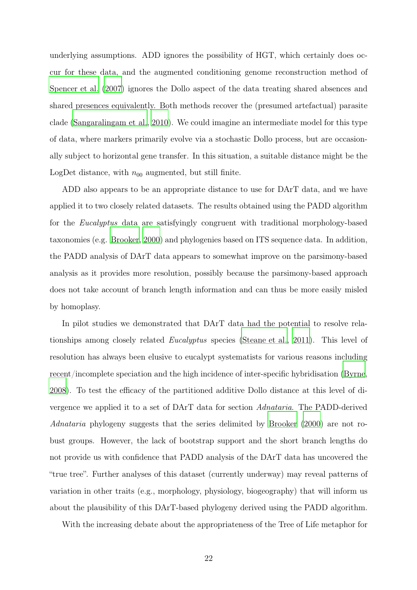underlying assumptions. ADD ignores the possibility of HGT, which certainly does occur for these data, and the augmented conditioning genome reconstruction method of [Spencer et al. \(2007](#page-25-4)) ignores the Dollo aspect of the data treating shared absences and shared presences equivalently. Both methods recover the (presumed artefactual) parasite clade [\(Sangaralingam et al., 2010\)](#page-25-5). We could imagine an intermediate model for this type of data, where markers primarily evolve via a stochastic Dollo process, but are occasionally subject to horizontal gene transfer. In this situation, a suitable distance might be the LogDet distance, with  $n_{00}$  augmented, but still finite.

ADD also appears to be an appropriate distance to use for DArT data, and we have applied it to two closely related datasets. The results obtained using the PADD algorithm for the *Eucalyptus* data are satisfyingly congruent with traditional morphology-based taxonomies (e.g. [Brooker, 2000](#page-22-0)) and phylogenies based on ITS sequence data. In addition, the PADD analysis of DArT data appears to somewhat improve on the parsimony-based analysis as it provides more resolution, possibly because the parsimony-based approach does not take account of branch length information and can thus be more easily misled by homoplasy.

In pilot studies we demonstrated that DArT data had the potential to resolve relationships among closely related *Eucalyptus* species [\(Steane et al., 2011\)](#page-25-2). This level of resolution has always been elusive to eucalypt systematists for various reasons including recent/incomplete speciation and the high incidence of inter-specific hybridisation [\(Byrne](#page-22-1), [2008](#page-22-1)). To test the efficacy of the partitioned additive Dollo distance at this level of divergence we applied it to a set of DArT data for section *Adnataria*. The PADD-derived *Adnataria* phylogeny suggests that the series delimited by [Brooker \(2000](#page-22-0)) are not robust groups. However, the lack of bootstrap support and the short branch lengths do not provide us with confidence that PADD analysis of the DArT data has uncovered the "true tree". Further analyses of this dataset (currently underway) may reveal patterns of variation in other traits (e.g., morphology, physiology, biogeography) that will inform us about the plausibility of this DArT-based phylogeny derived using the PADD algorithm.

With the increasing debate about the appropriateness of the Tree of Life metaphor for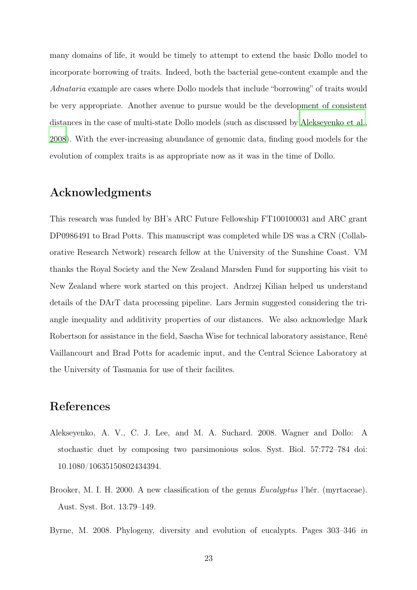many domains of life, it would be timely to attempt to extend the basic Dollo model to incorporate borrowing of traits. Indeed, both the bacterial gene-content example and the *Adnataria* example are cases where Dollo models that include "borrowing" of traits would be very appropriate. Another avenue to pursue would be the development of consistent distances in the case of multi-state Dollo models (such as discussed by [Alekseyenko et al.](#page-22-2), [2008](#page-22-2)). With the ever-increasing abundance of genomic data, finding good models for the evolution of complex traits is as appropriate now as it was in the time of Dollo.

### Acknowledgments

This research was funded by BH's ARC Future Fellowship FT100100031 and ARC grant DP0986491 to Brad Potts. This manuscript was completed while DS was a CRN (Collaborative Research Network) research fellow at the University of the Sunshine Coast. VM thanks the Royal Society and the New Zealand Marsden Fund for supporting his visit to New Zealand where work started on this project. Andrzej Kilian helped us understand details of the DArT data processing pipeline. Lars Jermin suggested considering the triangle inequality and additivity properties of our distances. We also acknowledge Mark Robertson for assistance in the field, Sascha Wise for technical laboratory assistance, René Vaillancourt and Brad Potts for academic input, and the Central Science Laboratory at the University of Tasmania for use of their facilites.

# References

- <span id="page-22-2"></span>Alekseyenko, A. V., C. J. Lee, and M. A. Suchard. 2008. Wagner and Dollo: A stochastic duet by composing two parsimonious solos. Syst. Biol. 57:772–784 doi: 10.1080/10635150802434394.
- <span id="page-22-0"></span>Brooker, M. I. H. 2000. A new classification of the genus *Eucalyptus* l'hér. (myrtaceae). Aust. Syst. Bot. 13:79–149.
- <span id="page-22-1"></span>Byrne, M. 2008. Phylogeny, diversity and evolution of eucalypts. Pages 303–346 *in*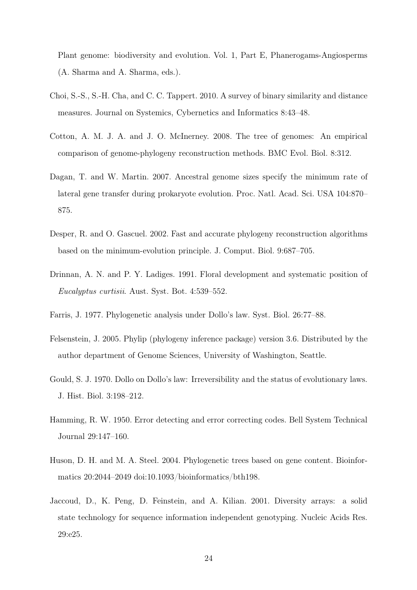Plant genome: biodiversity and evolution. Vol. 1, Part E, Phanerogams-Angiosperms (A. Sharma and A. Sharma, eds.).

- <span id="page-23-6"></span>Choi, S.-S., S.-H. Cha, and C. C. Tappert. 2010. A survey of binary similarity and distance measures. Journal on Systemics, Cybernetics and Informatics 8:43–48.
- <span id="page-23-5"></span>Cotton, A. M. J. A. and J. O. McInerney. 2008. The tree of genomes: An empirical comparison of genome-phylogeny reconstruction methods. BMC Evol. Biol. 8:312.
- <span id="page-23-1"></span>Dagan, T. and W. Martin. 2007. Ancestral genome sizes specify the minimum rate of lateral gene transfer during prokaryote evolution. Proc. Natl. Acad. Sci. USA 104:870– 875.
- <span id="page-23-7"></span>Desper, R. and O. Gascuel. 2002. Fast and accurate phylogeny reconstruction algorithms based on the minimum-evolution principle. J. Comput. Biol. 9:687–705.
- <span id="page-23-9"></span>Drinnan, A. N. and P. Y. Ladiges. 1991. Floral development and systematic position of *Eucalyptus curtisii*. Aust. Syst. Bot. 4:539–552.
- <span id="page-23-3"></span>Farris, J. 1977. Phylogenetic analysis under Dollo's law. Syst. Biol. 26:77–88.
- <span id="page-23-8"></span>Felsenstein, J. 2005. Phylip (phylogeny inference package) version 3.6. Distributed by the author department of Genome Sciences, University of Washington, Seattle.
- <span id="page-23-2"></span>Gould, S. J. 1970. Dollo on Dollo's law: Irreversibility and the status of evolutionary laws. J. Hist. Biol. 3:198–212.
- <span id="page-23-10"></span>Hamming, R. W. 1950. Error detecting and error correcting codes. Bell System Technical Journal 29:147–160.
- <span id="page-23-0"></span>Huson, D. H. and M. A. Steel. 2004. Phylogenetic trees based on gene content. Bioinformatics 20:2044–2049 doi:10.1093/bioinformatics/bth198.
- <span id="page-23-4"></span>Jaccoud, D., K. Peng, D. Feinstein, and A. Kilian. 2001. Diversity arrays: a solid state technology for sequence information independent genotyping. Nucleic Acids Res. 29:e25.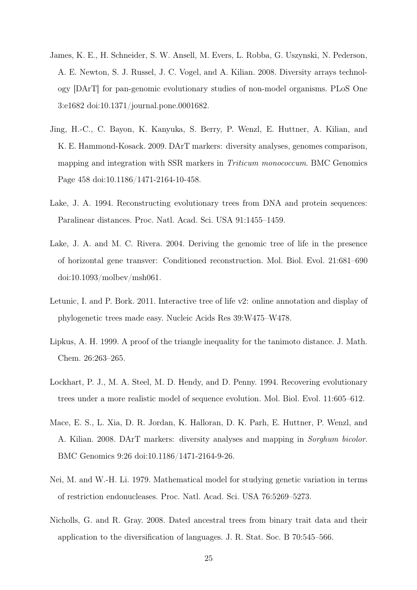- <span id="page-24-3"></span>James, K. E., H. Schneider, S. W. Ansell, M. Evers, L. Robba, G. Uszynski, N. Pederson, A. E. Newton, S. J. Russel, J. C. Vogel, and A. Kilian. 2008. Diversity arrays technology [DArT] for pan-genomic evolutionary studies of non-model organisms. PLoS One 3:e1682 doi:10.1371/journal.pone.0001682.
- <span id="page-24-5"></span>Jing, H.-C., C. Bayon, K. Kanyuka, S. Berry, P. Wenzl, E. Huttner, A. Kilian, and K. E. Hammond-Kosack. 2009. DArT markers: diversity analyses, genomes comparison, mapping and integration with SSR markers in *Triticum monococcum*. BMC Genomics Page 458 doi:10.1186/1471-2164-10-458.
- <span id="page-24-7"></span>Lake, J. A. 1994. Reconstructing evolutionary trees from DNA and protein sequences: Paralinear distances. Proc. Natl. Acad. Sci. USA 91:1455–1459.
- <span id="page-24-1"></span>Lake, J. A. and M. C. Rivera. 2004. Deriving the genomic tree of life in the presence of horizontal gene transver: Conditioned reconstruction. Mol. Biol. Evol. 21:681–690 doi:10.1093/molbev/msh061.
- <span id="page-24-8"></span>Letunic, I. and P. Bork. 2011. Interactive tree of life v2: online annotation and display of phylogenetic trees made easy. Nucleic Acids Res 39:W475–W478.
- <span id="page-24-9"></span>Lipkus, A. H. 1999. A proof of the triangle inequality for the tanimoto distance. J. Math. Chem. 26:263–265.
- <span id="page-24-6"></span>Lockhart, P. J., M. A. Steel, M. D. Hendy, and D. Penny. 1994. Recovering evolutionary trees under a more realistic model of sequence evolution. Mol. Biol. Evol. 11:605–612.
- <span id="page-24-4"></span>Mace, E. S., L. Xia, D. R. Jordan, K. Halloran, D. K. Parh, E. Huttner, P. Wenzl, and A. Kilian. 2008. DArT markers: diversity analyses and mapping in *Sorghum bicolor*. BMC Genomics 9:26 doi:10.1186/1471-2164-9-26.
- <span id="page-24-2"></span>Nei, M. and W.-H. Li. 1979. Mathematical model for studying genetic variation in terms of restriction endonucleases. Proc. Natl. Acad. Sci. USA 76:5269–5273.
- <span id="page-24-0"></span>Nicholls, G. and R. Gray. 2008. Dated ancestral trees from binary trait data and their application to the diversification of languages. J. R. Stat. Soc. B 70:545–566.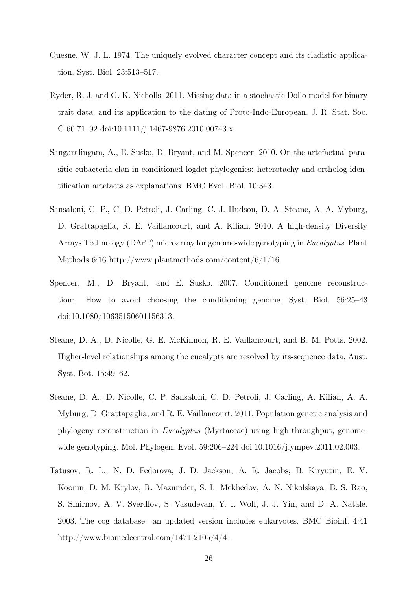- <span id="page-25-1"></span>Quesne, W. J. L. 1974. The uniquely evolved character concept and its cladistic application. Syst. Biol. 23:513–517.
- <span id="page-25-0"></span>Ryder, R. J. and G. K. Nicholls. 2011. Missing data in a stochastic Dollo model for binary trait data, and its application to the dating of Proto-Indo-European. J. R. Stat. Soc. C 60:71–92 doi:10.1111/j.1467-9876.2010.00743.x.
- <span id="page-25-5"></span>Sangaralingam, A., E. Susko, D. Bryant, and M. Spencer. 2010. On the artefactual parasitic eubacteria clan in conditioned logdet phylogenies: heterotachy and ortholog identification artefacts as explanations. BMC Evol. Biol. 10:343.
- <span id="page-25-6"></span>Sansaloni, C. P., C. D. Petroli, J. Carling, C. J. Hudson, D. A. Steane, A. A. Myburg, D. Grattapaglia, R. E. Vaillancourt, and A. Kilian. 2010. A high-density Diversity Arrays Technology (DArT) microarray for genome-wide genotyping in *Eucalyptus*. Plant Methods 6:16 http://www.plantmethods.com/content/6/1/16.
- <span id="page-25-4"></span>Spencer, M., D. Bryant, and E. Susko. 2007. Conditioned genome reconstruction: How to avoid choosing the conditioning genome. Syst. Biol. 56:25–43 doi:10.1080/10635150601156313.
- <span id="page-25-7"></span>Steane, D. A., D. Nicolle, G. E. McKinnon, R. E. Vaillancourt, and B. M. Potts. 2002. Higher-level relationships among the eucalypts are resolved by its-sequence data. Aust. Syst. Bot. 15:49–62.
- <span id="page-25-2"></span>Steane, D. A., D. Nicolle, C. P. Sansaloni, C. D. Petroli, J. Carling, A. Kilian, A. A. Myburg, D. Grattapaglia, and R. E. Vaillancourt. 2011. Population genetic analysis and phylogeny reconstruction in *Eucalyptus* (Myrtaceae) using high-throughput, genomewide genotyping. Mol. Phylogen. Evol. 59:206–224 doi:10.1016/j.ympev.2011.02.003.
- <span id="page-25-3"></span>Tatusov, R. L., N. D. Fedorova, J. D. Jackson, A. R. Jacobs, B. Kiryutin, E. V. Koonin, D. M. Krylov, R. Mazumder, S. L. Mekhedov, A. N. Nikolskaya, B. S. Rao, S. Smirnov, A. V. Sverdlov, S. Vasudevan, Y. I. Wolf, J. J. Yin, and D. A. Natale. 2003. The cog database: an updated version includes eukaryotes. BMC Bioinf. 4:41 http://www.biomedcentral.com/1471-2105/4/41.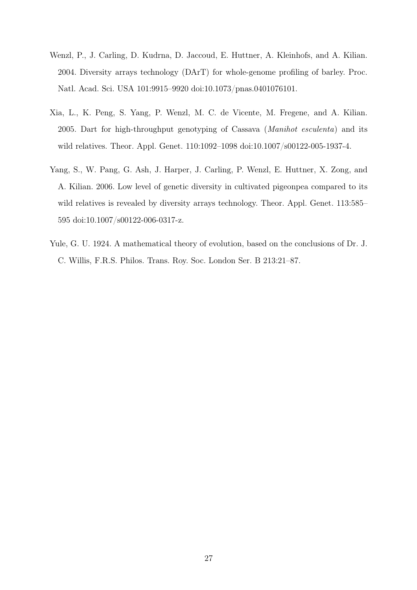- <span id="page-26-0"></span>Wenzl, P., J. Carling, D. Kudrna, D. Jaccoud, E. Huttner, A. Kleinhofs, and A. Kilian. 2004. Diversity arrays technology (DArT) for whole-genome profiling of barley. Proc. Natl. Acad. Sci. USA 101:9915–9920 doi:10.1073/pnas.0401076101.
- <span id="page-26-1"></span>Xia, L., K. Peng, S. Yang, P. Wenzl, M. C. de Vicente, M. Fregene, and A. Kilian. 2005. Dart for high-throughput genotyping of Cassava (*Manihot esculenta*) and its wild relatives. Theor. Appl. Genet. 110:1092–1098 doi:10.1007/s00122-005-1937-4.
- <span id="page-26-2"></span>Yang, S., W. Pang, G. Ash, J. Harper, J. Carling, P. Wenzl, E. Huttner, X. Zong, and A. Kilian. 2006. Low level of genetic diversity in cultivated pigeonpea compared to its wild relatives is revealed by diversity arrays technology. Theor. Appl. Genet. 113:585– 595 doi:10.1007/s00122-006-0317-z.
- <span id="page-26-3"></span>Yule, G. U. 1924. A mathematical theory of evolution, based on the conclusions of Dr. J. C. Willis, F.R.S. Philos. Trans. Roy. Soc. London Ser. B 213:21–87.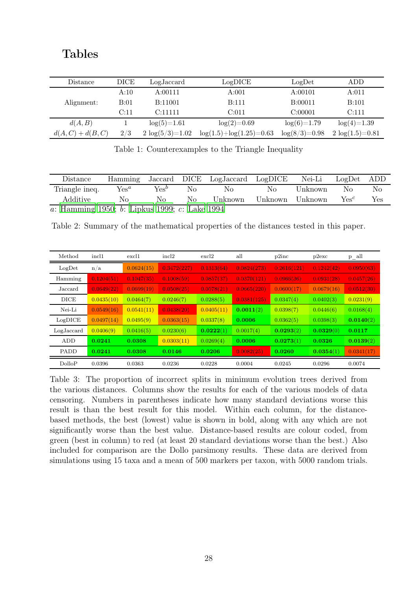### Tables

| Distance          | DICE | LogJaccard         | LogDICE                       | LogDet          | ADD                |
|-------------------|------|--------------------|-------------------------------|-----------------|--------------------|
|                   | A:10 | A:00111            | A:001                         | A:00101         | A:011              |
| Alignment:        | B:01 | B:11001            | <b>B:111</b>                  | B:00011         | B:101              |
|                   | C:11 | C:11111            | C:011                         | C:00001         | C:111              |
| d(A, B)           |      | $log(5)=1.61$      | $log(2)=0.69$                 | $log(6)=1.79$   | $log(4)=1.39$      |
| $d(A,C) + d(B,C)$ | 2/3  | $2 \log(5/3)=1.02$ | $log(1.5) + log(1.25) = 0.63$ | $log(8/3)=0.98$ | $2 \log(1.5)=0.81$ |

<span id="page-27-0"></span>Table 1: Counterexamples to the Triangle Inequality

| Distance                                                                                | Hamming          |         |          | Jaccard DICE LogJaccard | LogDICE | Nei-Li  | $LogDet$ ADD     |     |
|-----------------------------------------------------------------------------------------|------------------|---------|----------|-------------------------|---------|---------|------------------|-----|
| Triangle ineq.                                                                          | $\mathrm{Yes}^a$ | $Yes^b$ | $\rm No$ | No                      | No.     | Unknown | No               | No  |
| Additive                                                                                | $N_{\Omega}$     | Nο      | No.      | Unknown                 | Unknown | Unknown | $\mathrm{Yes}^c$ | Yes |
| $\overline{a}$ : Hamming 1950; $\overline{b}$ : Lipkus 1999; $\overline{c}$ : Lake 1994 |                  |         |          |                         |         |         |                  |     |

<span id="page-27-1"></span>Table 2: Summary of the mathematical properties of the distances tested in this paper.

| Method      | incl1      | excl1      | incl2       | excl2      | all         | p2inc       | p2exc      | $p_{all}$  |
|-------------|------------|------------|-------------|------------|-------------|-------------|------------|------------|
| LogDet      | n/a        | 0.0624(15) | 0.3472(227) | 0.1313(64) | 0.0824(273) | 0.2616(121) | 0.1242(42) | 0.0950(63) |
| Hamming     | 0.1204(51) | 0.1047(35) | 0.1008(59)  | 0.0857(37) | 0.0370(121) | 0.0966(36)  | 0.0931(28) | 0.0457(26) |
| Jaccard     | 0.0649(22) | 0.0699(19) | 0.0508(25)  | 0.0578(21) | 0.0665(220) | 0.0600(17)  | 0.0679(16) | 0.0512(30) |
| <b>DICE</b> | 0.0435(10) | 0.0464(7)  | 0.0246(7)   | 0.0288(5)  | 0.0381(125) | 0.0347(4)   | 0.0402(3)  | 0.0231(9)  |
| Nei-Li      | 0.0549(16) | 0.0541(11) | 0.0438(20)  | 0.0405(11) | 0.0011(2)   | 0.0398(7)   | 0.0446(6)  | 0.0168(4)  |
| LogDICE     | 0.0497(14) | 0.0495(9)  | 0.0363(15)  | 0.0337(8)  | 0.0006      | 0.0362(5)   | 0.0398(3)  | 0.0140(2)  |
| LogJaccard  | 0.0406(9)  | 0.0416(5)  | 0.0230(6)   | 0.0222(1)  | 0.0017(4)   | 0.0293(2)   | 0.0329(0)  | 0.0117     |
| ADD         | 0.0241     | 0.0308     | 0.0303(11)  | 0.0269(4)  | 0.0006      | 0.0273(1)   | 0.0326     | 0.0139(2)  |
| <b>PADD</b> | 0.0241     | 0.0308     | 0.0146      | 0.0206     | 0.0082(25)  | 0.0260      | 0.0354(1)  | 0.0341(17) |
| DolloP      | 0.0396     | 0.0363     | 0.0236      | 0.0228     | 0.0004      | 0.0245      | 0.0296     | 0.0074     |

<span id="page-27-2"></span>Table 3: The proportion of incorrect splits in minimum evolution trees derived from the various distances. Columns show the results for each of the various models of data censoring. Numbers in parentheses indicate how many standard deviations worse this result is than the best result for this model. Within each column, for the distancebased methods, the best (lowest) value is shown in bold, along with any which are not significantly worse than the best value. Distance-based results are colour coded, from green (best in column) to red (at least 20 standard deviations worse than the best.) Also included for comparison are the Dollo parsimony results. These data are derived from simulations using 15 taxa and a mean of 500 markers per taxon, with 5000 random trials.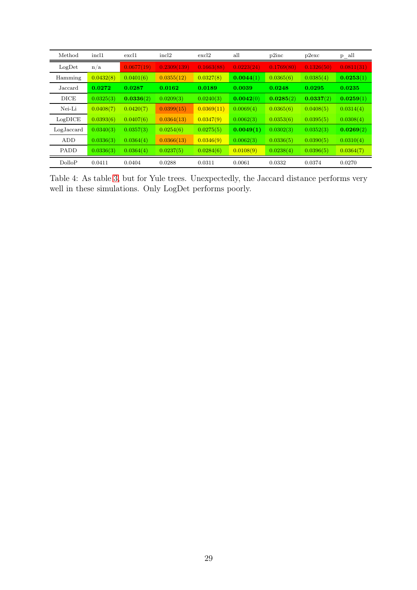| Method      | incl1     | excl1      | incl2       | excl2      | all        | p2inc      | p2exc      | $p_{all}$  |
|-------------|-----------|------------|-------------|------------|------------|------------|------------|------------|
| LogDet      | n/a       | 0.0677(19) | 0.2309(139) | 0.1663(88) | 0.0223(24) | 0.1769(80) | 0.1326(50) | 0.0811(31) |
| Hamming     | 0.0432(8) | 0.0401(6)  | 0.0355(12)  | 0.0327(8)  | 0.0044(1)  | 0.0365(6)  | 0.0385(4)  | 0.0253(1)  |
| Jaccard     | 0.0272    | 0.0287     | 0.0162      | 0.0189     | 0.0039     | 0.0248     | 0.0295     | 0.0235     |
| <b>DICE</b> | 0.0325(3) | 0.0336(2)  | 0.0209(3)   | 0.0240(3)  | 0.0042(0)  | 0.0285(2)  | 0.0337(2)  | 0.0259(1)  |
| Nei-Li      | 0.0408(7) | 0.0420(7)  | 0.0399(15)  | 0.0369(11) | 0.0069(4)  | 0.0365(6)  | 0.0408(5)  | 0.0314(4)  |
| LogDICE     | 0.0393(6) | 0.0407(6)  | 0.0364(13)  | 0.0347(9)  | 0.0062(3)  | 0.0353(6)  | 0.0395(5)  | 0.0308(4)  |
| LogJaccard  | 0.0340(3) | 0.0357(3)  | 0.0254(6)   | 0.0275(5)  | 0.0049(1)  | 0.0302(3)  | 0.0352(3)  | 0.0269(2)  |
| ADD         | 0.0336(3) | 0.0364(4)  | 0.0366(13)  | 0.0346(9)  | 0.0062(3)  | 0.0336(5)  | 0.0390(5)  | 0.0310(4)  |
| <b>PADD</b> | 0.0336(3) | 0.0364(4)  | 0.0237(5)   | 0.0284(6)  | 0.0108(9)  | 0.0238(4)  | 0.0396(5)  | 0.0364(7)  |
| DolloP      | 0.0411    | 0.0404     | 0.0288      | 0.0311     | 0.0061     | 0.0332     | 0.0374     | 0.0270     |

<span id="page-28-0"></span>Table 4: As table [3,](#page-27-2) but for Yule trees. Unexpectedly, the Jaccard distance performs very well in these simulations. Only LogDet performs poorly.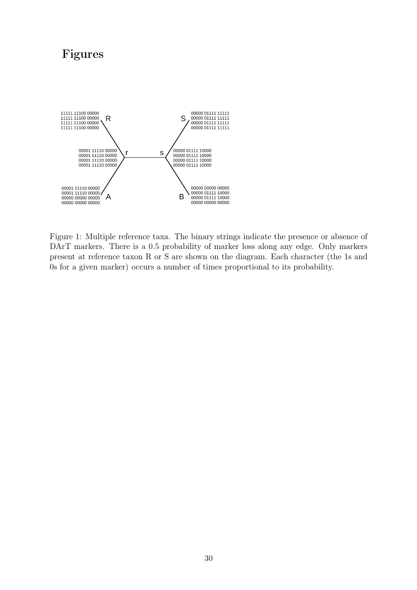# Figures



<span id="page-29-0"></span>Figure 1: Multiple reference taxa. The binary strings indicate the presence or absence of DArT markers. There is a 0.5 probability of marker loss along any edge. Only markers present at reference taxon R or S are shown on the diagram. Each character (the 1s and 0s for a given marker) occurs a number of times proportional to its probability.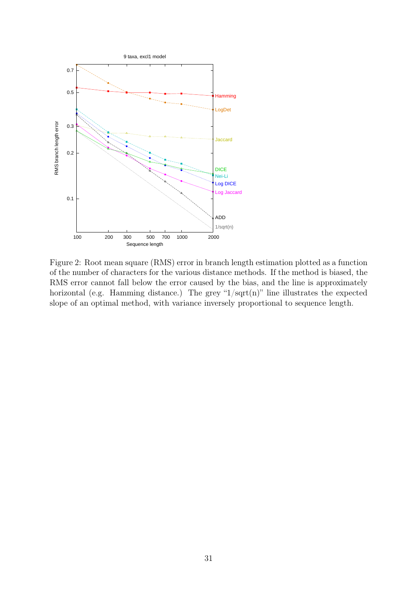

<span id="page-30-0"></span>Figure 2: Root mean square (RMS) error in branch length estimation plotted as a function of the number of characters for the various distance methods. If the method is biased, the RMS error cannot fall below the error caused by the bias, and the line is approximately horizontal (e.g. Hamming distance.) The grey " $1/\sqrt{sqrt(n)}$ " line illustrates the expected slope of an optimal method, with variance inversely proportional to sequence length.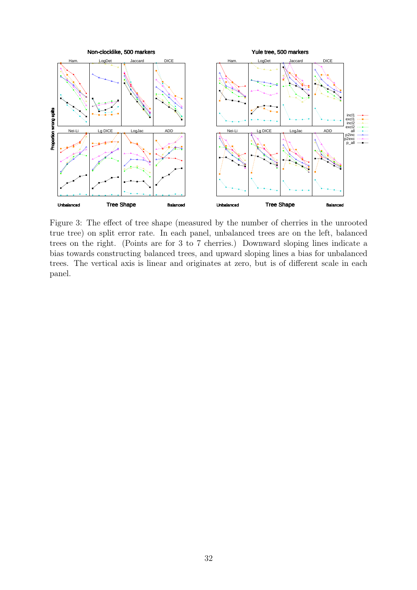

<span id="page-31-0"></span>Figure 3: The effect of tree shape (measured by the number of cherries in the unrooted true tree) on split error rate. In each panel, unbalanced trees are on the left, balanced trees on the right. (Points are for 3 to 7 cherries.) Downward sloping lines indicate a bias towards constructing balanced trees, and upward sloping lines a bias for unbalanced trees. The vertical axis is linear and originates at zero, but is of different scale in each panel.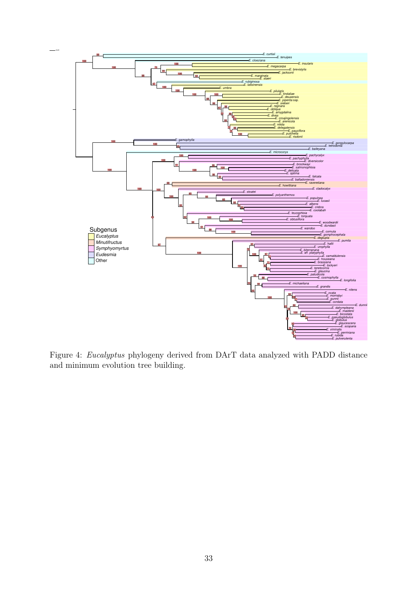

<span id="page-32-0"></span>Figure 4: *Eucalyptus* phylogeny derived from DArT data analyzed with PADD distance and minimum evolution tree building.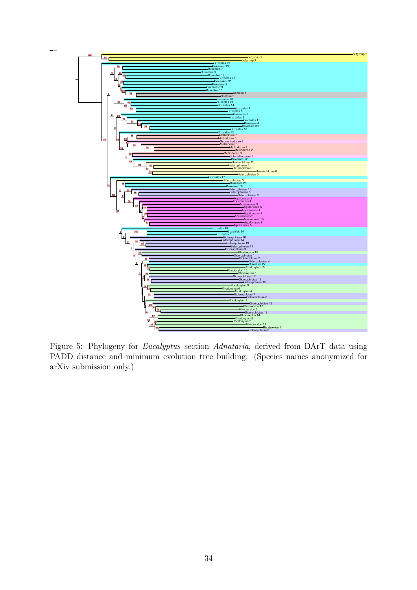

<span id="page-33-0"></span>Figure 5: Phylogeny for *Eucalyptus* section *Adnataria*, derived from DArT data using PADD distance and minimum evolution tree building. (Species names anonymized for arXiv submission only.)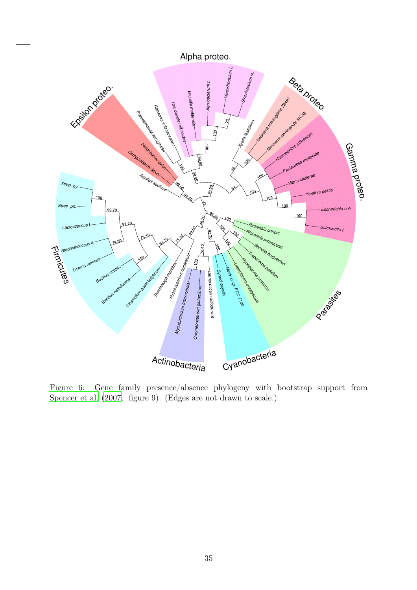Alpha proteo.



<span id="page-34-0"></span>Figure 6: Gene family presence/absence phylogeny with bootstrap support from [Spencer et al. \(2007,](#page-25-4) figure 9). (Edges are not drawn to scale.)